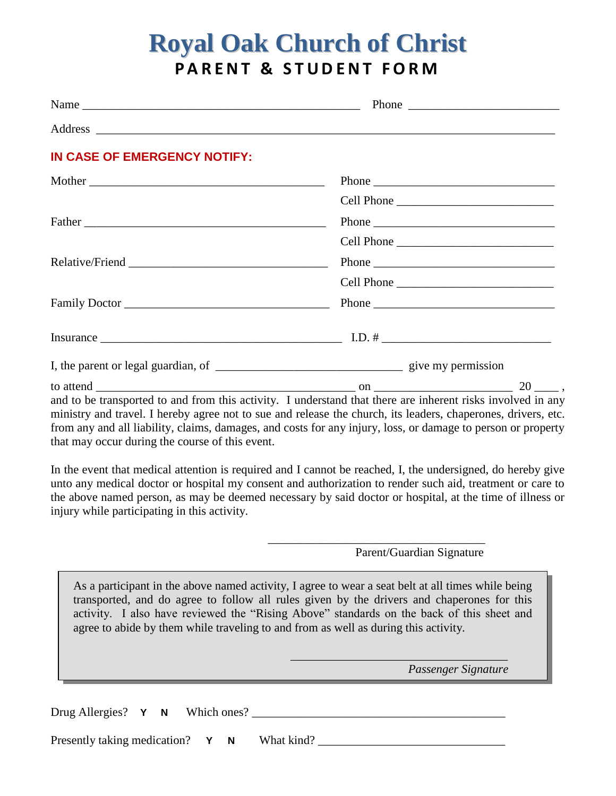# **Royal Oak Church of Christ PARENT & STUDENT FORM**

| IN CASE OF EMERGENCY NOTIFY:                                                                                                                                                                                                                                                                                                                                                                                |            |  |
|-------------------------------------------------------------------------------------------------------------------------------------------------------------------------------------------------------------------------------------------------------------------------------------------------------------------------------------------------------------------------------------------------------------|------------|--|
| Mother                                                                                                                                                                                                                                                                                                                                                                                                      |            |  |
|                                                                                                                                                                                                                                                                                                                                                                                                             |            |  |
|                                                                                                                                                                                                                                                                                                                                                                                                             |            |  |
|                                                                                                                                                                                                                                                                                                                                                                                                             | Cell Phone |  |
|                                                                                                                                                                                                                                                                                                                                                                                                             | Phone      |  |
|                                                                                                                                                                                                                                                                                                                                                                                                             |            |  |
| Family Doctor                                                                                                                                                                                                                                                                                                                                                                                               |            |  |
| Insurance $\frac{1}{\sqrt{1-\frac{1}{2}}\sqrt{1-\frac{1}{2}}\sqrt{1-\frac{1}{2}}\sqrt{1-\frac{1}{2}}\sqrt{1-\frac{1}{2}}\sqrt{1-\frac{1}{2}}\sqrt{1-\frac{1}{2}}\sqrt{1-\frac{1}{2}}\sqrt{1-\frac{1}{2}}\sqrt{1-\frac{1}{2}}\sqrt{1-\frac{1}{2}}\sqrt{1-\frac{1}{2}}\sqrt{1-\frac{1}{2}}\sqrt{1-\frac{1}{2}}\sqrt{1-\frac{1}{2}}\sqrt{1-\frac{1}{2}}\sqrt{1-\frac{1}{2}}\sqrt{1-\frac{1}{2}}\sqrt{1-\frac{$ |            |  |
|                                                                                                                                                                                                                                                                                                                                                                                                             |            |  |
|                                                                                                                                                                                                                                                                                                                                                                                                             |            |  |
| and to be transported to and from this activity. I understand that there are inherent risks involved in any<br>ministry and travel. I hereby agree not to sue and release the church, its leaders, chaperones, drivers, etc.                                                                                                                                                                                |            |  |

and travel. I hereby agree not to sue and release the church, its leaders, chaperones, drivers, etc. from any and all liability, claims, damages, and costs for any injury, loss, or damage to person or property that may occur during the course of this event.

In the event that medical attention is required and I cannot be reached, I, the undersigned, do hereby give unto any medical doctor or hospital my consent and authorization to render such aid, treatment or care to the above named person, as may be deemed necessary by said doctor or hospital, at the time of illness or injury while participating in this activity.

#### Parent/Guardian Signature

\_\_\_\_\_\_\_\_\_\_\_\_\_\_\_\_\_\_\_\_\_\_\_\_\_\_\_\_\_\_\_\_\_\_\_\_

\_\_\_\_\_\_\_\_\_\_\_\_\_\_\_\_\_\_\_\_\_\_\_\_\_\_\_\_\_\_\_\_\_\_\_\_

As a participant in the above named activity, I agree to wear a seat belt at all times while being transported, and do agree to follow all rules given by the drivers and chaperones for this activity. I also have reviewed the "Rising Above" standards on the back of this sheet and agree to abide by them while traveling to and from as well as during this activity.

 *Passenger Signature*

Drug Allergies? **Y N** Which ones? \_\_\_\_\_\_\_\_\_\_\_\_\_\_\_\_\_\_\_\_\_\_\_\_\_\_\_\_\_\_\_\_\_\_\_\_\_\_\_\_\_\_

Presently taking medication? **Y N** What kind? \_\_\_\_\_\_\_\_\_\_\_\_\_\_\_\_\_\_\_\_\_\_\_\_\_\_\_\_\_\_\_